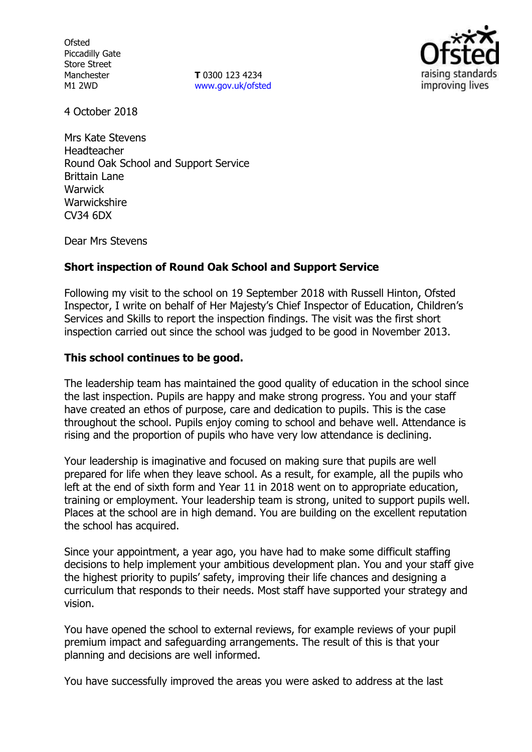**Ofsted** Piccadilly Gate Store Street Manchester M1 2WD

**T** 0300 123 4234 www.gov.uk/ofsted



4 October 2018

Mrs Kate Stevens Headteacher Round Oak School and Support Service Brittain Lane **Warwick Warwickshire** CV34 6DX

Dear Mrs Stevens

## **Short inspection of Round Oak School and Support Service**

Following my visit to the school on 19 September 2018 with Russell Hinton, Ofsted Inspector, I write on behalf of Her Majesty's Chief Inspector of Education, Children's Services and Skills to report the inspection findings. The visit was the first short inspection carried out since the school was judged to be good in November 2013.

### **This school continues to be good.**

The leadership team has maintained the good quality of education in the school since the last inspection. Pupils are happy and make strong progress. You and your staff have created an ethos of purpose, care and dedication to pupils. This is the case throughout the school. Pupils enjoy coming to school and behave well. Attendance is rising and the proportion of pupils who have very low attendance is declining.

Your leadership is imaginative and focused on making sure that pupils are well prepared for life when they leave school. As a result, for example, all the pupils who left at the end of sixth form and Year 11 in 2018 went on to appropriate education, training or employment. Your leadership team is strong, united to support pupils well. Places at the school are in high demand. You are building on the excellent reputation the school has acquired.

Since your appointment, a year ago, you have had to make some difficult staffing decisions to help implement your ambitious development plan. You and your staff give the highest priority to pupils' safety, improving their life chances and designing a curriculum that responds to their needs. Most staff have supported your strategy and vision.

You have opened the school to external reviews, for example reviews of your pupil premium impact and safeguarding arrangements. The result of this is that your planning and decisions are well informed.

You have successfully improved the areas you were asked to address at the last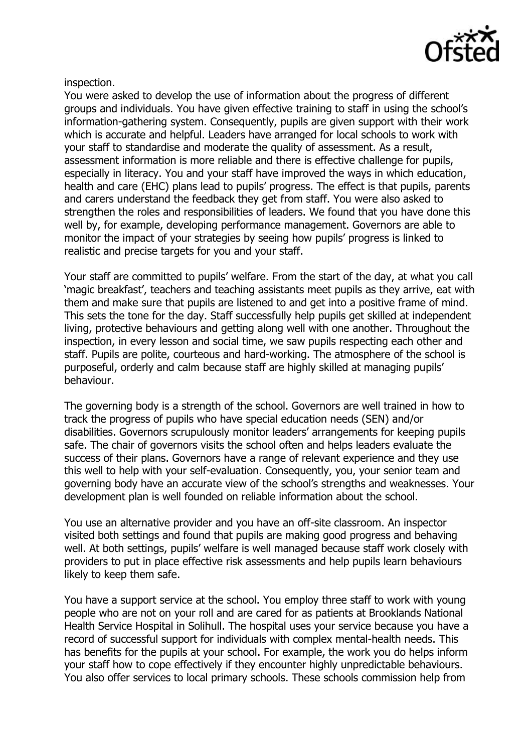

inspection.

You were asked to develop the use of information about the progress of different groups and individuals. You have given effective training to staff in using the school's information-gathering system. Consequently, pupils are given support with their work which is accurate and helpful. Leaders have arranged for local schools to work with your staff to standardise and moderate the quality of assessment. As a result, assessment information is more reliable and there is effective challenge for pupils, especially in literacy. You and your staff have improved the ways in which education, health and care (EHC) plans lead to pupils' progress. The effect is that pupils, parents and carers understand the feedback they get from staff. You were also asked to strengthen the roles and responsibilities of leaders. We found that you have done this well by, for example, developing performance management. Governors are able to monitor the impact of your strategies by seeing how pupils' progress is linked to realistic and precise targets for you and your staff.

Your staff are committed to pupils' welfare. From the start of the day, at what you call 'magic breakfast', teachers and teaching assistants meet pupils as they arrive, eat with them and make sure that pupils are listened to and get into a positive frame of mind. This sets the tone for the day. Staff successfully help pupils get skilled at independent living, protective behaviours and getting along well with one another. Throughout the inspection, in every lesson and social time, we saw pupils respecting each other and staff. Pupils are polite, courteous and hard-working. The atmosphere of the school is purposeful, orderly and calm because staff are highly skilled at managing pupils' behaviour.

The governing body is a strength of the school. Governors are well trained in how to track the progress of pupils who have special education needs (SEN) and/or disabilities. Governors scrupulously monitor leaders' arrangements for keeping pupils safe. The chair of governors visits the school often and helps leaders evaluate the success of their plans. Governors have a range of relevant experience and they use this well to help with your self-evaluation. Consequently, you, your senior team and governing body have an accurate view of the school's strengths and weaknesses. Your development plan is well founded on reliable information about the school.

You use an alternative provider and you have an off-site classroom. An inspector visited both settings and found that pupils are making good progress and behaving well. At both settings, pupils' welfare is well managed because staff work closely with providers to put in place effective risk assessments and help pupils learn behaviours likely to keep them safe.

You have a support service at the school. You employ three staff to work with young people who are not on your roll and are cared for as patients at Brooklands National Health Service Hospital in Solihull. The hospital uses your service because you have a record of successful support for individuals with complex mental-health needs. This has benefits for the pupils at your school. For example, the work you do helps inform your staff how to cope effectively if they encounter highly unpredictable behaviours. You also offer services to local primary schools. These schools commission help from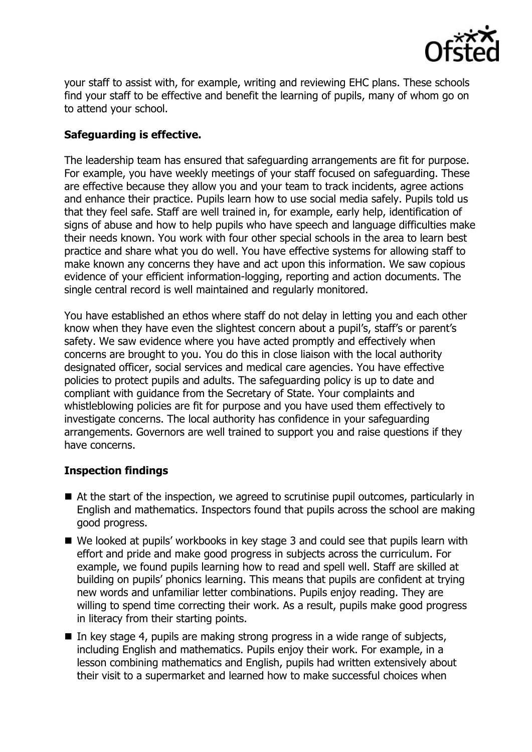

your staff to assist with, for example, writing and reviewing EHC plans. These schools find your staff to be effective and benefit the learning of pupils, many of whom go on to attend your school.

# **Safeguarding is effective.**

The leadership team has ensured that safeguarding arrangements are fit for purpose. For example, you have weekly meetings of your staff focused on safeguarding. These are effective because they allow you and your team to track incidents, agree actions and enhance their practice. Pupils learn how to use social media safely. Pupils told us that they feel safe. Staff are well trained in, for example, early help, identification of signs of abuse and how to help pupils who have speech and language difficulties make their needs known. You work with four other special schools in the area to learn best practice and share what you do well. You have effective systems for allowing staff to make known any concerns they have and act upon this information. We saw copious evidence of your efficient information-logging, reporting and action documents. The single central record is well maintained and regularly monitored.

You have established an ethos where staff do not delay in letting you and each other know when they have even the slightest concern about a pupil's, staff's or parent's safety. We saw evidence where you have acted promptly and effectively when concerns are brought to you. You do this in close liaison with the local authority designated officer, social services and medical care agencies. You have effective policies to protect pupils and adults. The safeguarding policy is up to date and compliant with guidance from the Secretary of State. Your complaints and whistleblowing policies are fit for purpose and you have used them effectively to investigate concerns. The local authority has confidence in your safeguarding arrangements. Governors are well trained to support you and raise questions if they have concerns.

## **Inspection findings**

- At the start of the inspection, we agreed to scrutinise pupil outcomes, particularly in English and mathematics. Inspectors found that pupils across the school are making good progress.
- We looked at pupils' workbooks in key stage 3 and could see that pupils learn with effort and pride and make good progress in subjects across the curriculum. For example, we found pupils learning how to read and spell well. Staff are skilled at building on pupils' phonics learning. This means that pupils are confident at trying new words and unfamiliar letter combinations. Pupils enjoy reading. They are willing to spend time correcting their work. As a result, pupils make good progress in literacy from their starting points.
- In key stage 4, pupils are making strong progress in a wide range of subjects, including English and mathematics. Pupils enjoy their work. For example, in a lesson combining mathematics and English, pupils had written extensively about their visit to a supermarket and learned how to make successful choices when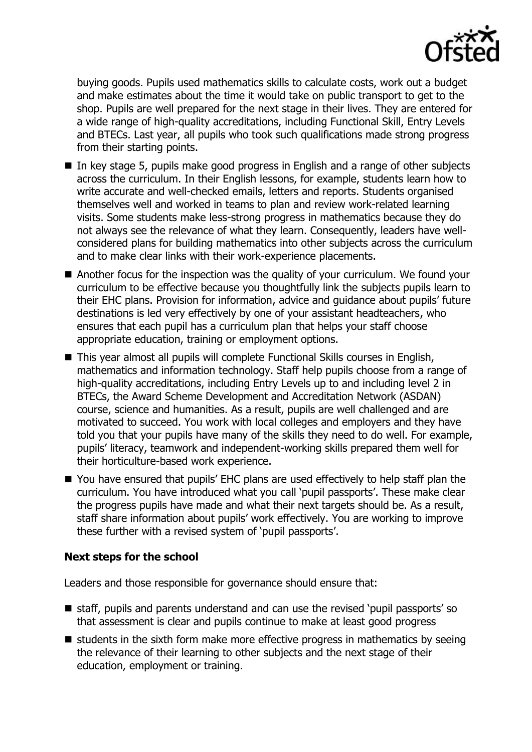

buying goods. Pupils used mathematics skills to calculate costs, work out a budget and make estimates about the time it would take on public transport to get to the shop. Pupils are well prepared for the next stage in their lives. They are entered for a wide range of high-quality accreditations, including Functional Skill, Entry Levels and BTECs. Last year, all pupils who took such qualifications made strong progress from their starting points.

- In key stage 5, pupils make good progress in English and a range of other subjects across the curriculum. In their English lessons, for example, students learn how to write accurate and well-checked emails, letters and reports. Students organised themselves well and worked in teams to plan and review work-related learning visits. Some students make less-strong progress in mathematics because they do not always see the relevance of what they learn. Consequently, leaders have wellconsidered plans for building mathematics into other subjects across the curriculum and to make clear links with their work-experience placements.
- Another focus for the inspection was the quality of your curriculum. We found your curriculum to be effective because you thoughtfully link the subjects pupils learn to their EHC plans. Provision for information, advice and guidance about pupils' future destinations is led very effectively by one of your assistant headteachers, who ensures that each pupil has a curriculum plan that helps your staff choose appropriate education, training or employment options.
- This year almost all pupils will complete Functional Skills courses in English, mathematics and information technology. Staff help pupils choose from a range of high-quality accreditations, including Entry Levels up to and including level 2 in BTECs, the Award Scheme Development and Accreditation Network (ASDAN) course, science and humanities. As a result, pupils are well challenged and are motivated to succeed. You work with local colleges and employers and they have told you that your pupils have many of the skills they need to do well. For example, pupils' literacy, teamwork and independent-working skills prepared them well for their horticulture-based work experience.
- You have ensured that pupils' EHC plans are used effectively to help staff plan the curriculum. You have introduced what you call 'pupil passports'. These make clear the progress pupils have made and what their next targets should be. As a result, staff share information about pupils' work effectively. You are working to improve these further with a revised system of 'pupil passports'.

## **Next steps for the school**

Leaders and those responsible for governance should ensure that:

- staff, pupils and parents understand and can use the revised 'pupil passports' so that assessment is clear and pupils continue to make at least good progress
- $\blacksquare$  students in the sixth form make more effective progress in mathematics by seeing the relevance of their learning to other subjects and the next stage of their education, employment or training.